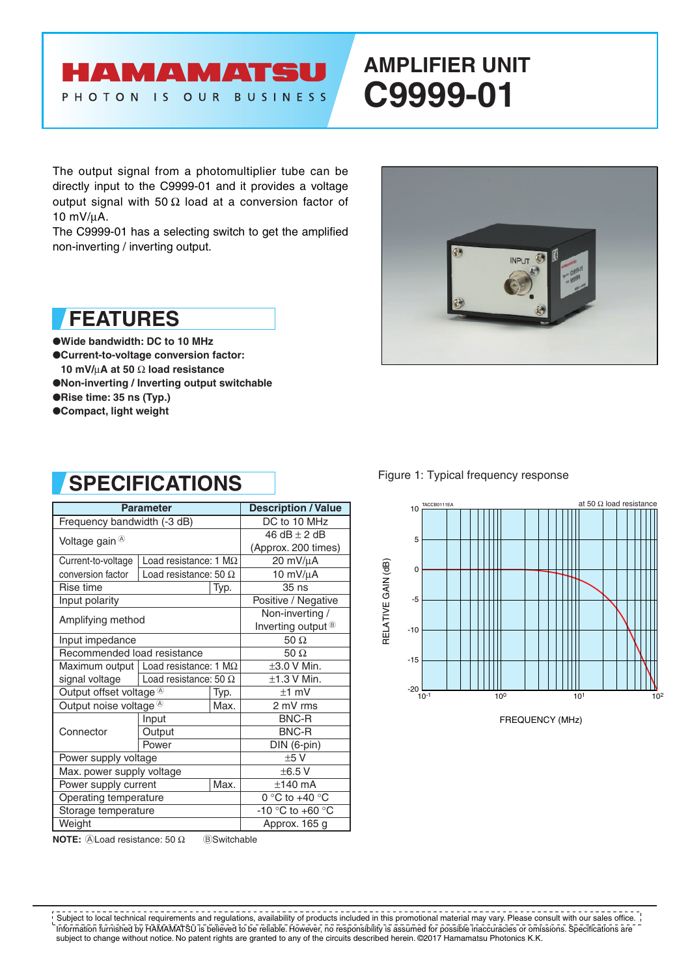### HAMAMATSU PHOTON IS OUR BUSINESS

# **AMPLIFIER UNIT C9999-01**

The output signal from a photomultiplier tube can be directly input to the C9999-01 and it provides a voltage output signal with 50 Ω load at a conversion factor of 10 mV/µA.

The C9999-01 has a selecting switch to get the amplified non-inverting / inverting output.



●**Wide bandwidth: DC to 10 MHz** ●**Current-to-voltage conversion factor: 10 mV/**µ**A at 50** Ω **load resistance** ●**Non-inverting / Inverting output switchable** ●**Rise time: 35 ns (Typ.)** ●**Compact, light weight**

# **SPECIFICATIONS**

| <b>Parameter</b>                                         | <b>Description / Value</b>                     |      |                               |  |  |
|----------------------------------------------------------|------------------------------------------------|------|-------------------------------|--|--|
| Frequency bandwidth (-3 dB)                              | DC to 10 MHz                                   |      |                               |  |  |
|                                                          | 46 dB $\pm$ 2 dB                               |      |                               |  |  |
| Voltage gain ®                                           |                                                |      | (Approx. 200 times)           |  |  |
| Current-to-voltage                                       | Load resistance: 1 $M\Omega$                   |      | 20 mV/µA                      |  |  |
| conversion factor                                        | Load resistance: 50 $\Omega$                   |      | 10 mV/µA                      |  |  |
| Rise time                                                |                                                | Typ. | $35$ ns                       |  |  |
| Input polarity                                           |                                                |      | Positive / Negative           |  |  |
| Amplifying method                                        |                                                |      | Non-inverting /               |  |  |
|                                                          |                                                |      | Inverting output <sup>®</sup> |  |  |
| Input impedance                                          | 50 $\Omega$                                    |      |                               |  |  |
| Recommended load resistance                              | 50 $\Omega$                                    |      |                               |  |  |
|                                                          | Maximum output   Load resistance: 1 M $\Omega$ |      |                               |  |  |
| signal voltage                                           | Load resistance: 50 $\Omega$                   |      | $\pm$ 1.3 V Min.              |  |  |
| Output offset voltage $\mathbb{\textcircled{A}}$<br>Typ. |                                                |      | $±1$ mV                       |  |  |
| Output noise voltage <sup>®</sup>                        |                                                | Max. | 2 mV rms                      |  |  |
| Connector                                                | Input                                          |      | BNC-R                         |  |  |
|                                                          | Output                                         |      | <b>BNC-R</b>                  |  |  |
|                                                          | Power                                          |      | DIN (6-pin)                   |  |  |
| Power supply voltage                                     |                                                |      | ±5V                           |  |  |
| Max. power supply voltage                                | ±6.5V                                          |      |                               |  |  |
| Max.<br>Power supply current                             |                                                |      | $±140$ mA                     |  |  |
| Operating temperature                                    | 0 °C to +40 °C                                 |      |                               |  |  |
| Storage temperature                                      | -10 °C to +60 °C                               |      |                               |  |  |
| Weight                                                   |                                                |      | Approx. 165 g                 |  |  |

**NOTE:** A Load resistance: 50 Ω BSwitchable



Figure 1: Typical frequency response



FREQUENCY (MHz)

Information furnished by HAMAMATSU is believed to be reliable. However, no responsibility is assumed for possible inaccuracies or omissions. Specifications are subject to change without notice. No patent rights are granted to any of the circuits described herein. ©2017 Hamamatsu Photonics K.K. Subject to local technical requirements and regulations, availability of products included in this promotional material may vary. Please consult with our sales office.